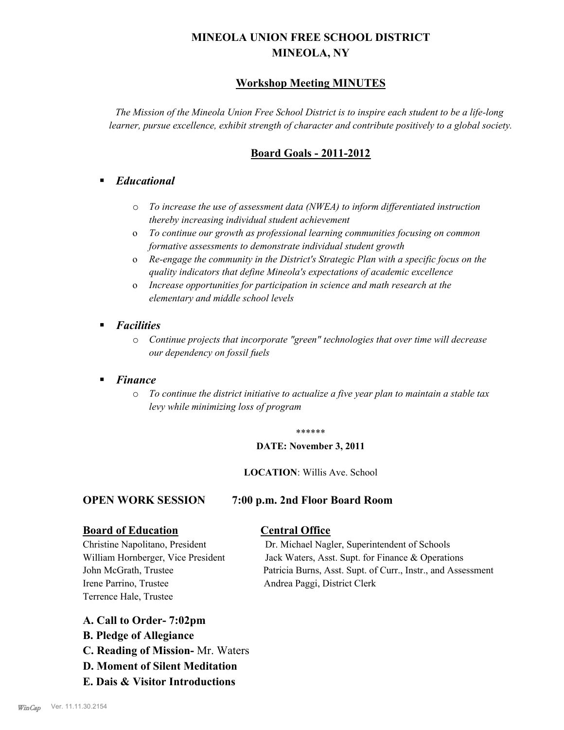# **MINEOLA UNION FREE SCHOOL DISTRICT MINEOLA, NY**

# **Workshop Meeting MINUTES**

*The Mission of the Mineola Union Free School District is to inspire each student to be a life-long learner, pursue excellence, exhibit strength of character and contribute positively to a global society.*

# **Board Goals - 2011-2012**

# § *Educational*

- o *To increase the use of assessment data (NWEA) to inform differentiated instruction thereby increasing individual student achievement*
- o *To continue our growth as professional learning communities focusing on common formative assessments to demonstrate individual student growth*
- o *Re-engage the community in the District's Strategic Plan with a specific focus on the quality indicators that define Mineola's expectations of academic excellence*
- o *Increase opportunities for participation in science and math research at the elementary and middle school levels*
- *Facilities* 
	- o *Continue projects that incorporate "green" technologies that over time will decrease our dependency on fossil fuels*

## § *Finance*

o *To continue the district initiative to actualize a five year plan to maintain a stable tax levy while minimizing loss of program*

#### \*\*\*\*\*\*

#### **DATE: November 3, 2011**

#### **LOCATION**: Willis Ave. School

### **OPEN WORK SESSION 7:00 p.m. 2nd Floor Board Room**

### **Board of Education Central Office**

Irene Parrino, Trustee Andrea Paggi, District Clerk Terrence Hale, Trustee

Christine Napolitano, President Dr. Michael Nagler, Superintendent of Schools William Hornberger, Vice President Jack Waters, Asst. Supt. for Finance & Operations John McGrath, Trustee Patricia Burns, Asst. Supt. of Curr., Instr., and Assessment

# **A. Call to Order- 7:02pm**

- **B. Pledge of Allegiance**
- **C. Reading of Mission-** Mr. Waters
- **D. Moment of Silent Meditation**
- **E. Dais & Visitor Introductions**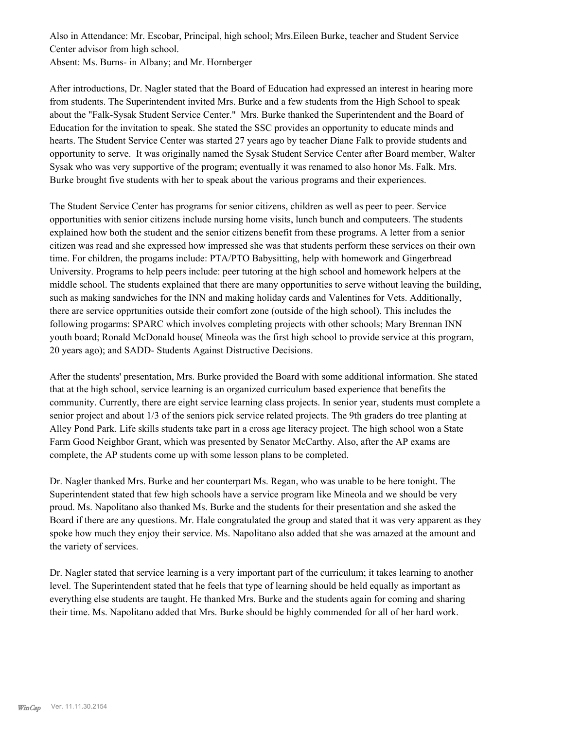Also in Attendance: Mr. Escobar, Principal, high school; Mrs.Eileen Burke, teacher and Student Service Center advisor from high school. Absent: Ms. Burns- in Albany; and Mr. Hornberger

After introductions, Dr. Nagler stated that the Board of Education had expressed an interest in hearing more from students. The Superintendent invited Mrs. Burke and a few students from the High School to speak about the "Falk-Sysak Student Service Center." Mrs. Burke thanked the Superintendent and the Board of Education for the invitation to speak. She stated the SSC provides an opportunity to educate minds and hearts. The Student Service Center was started 27 years ago by teacher Diane Falk to provide students and opportunity to serve. It was originally named the Sysak Student Service Center after Board member, Walter Sysak who was very supportive of the program; eventually it was renamed to also honor Ms. Falk. Mrs. Burke brought five students with her to speak about the various programs and their experiences.

The Student Service Center has programs for senior citizens, children as well as peer to peer. Service opportunities with senior citizens include nursing home visits, lunch bunch and computeers. The students explained how both the student and the senior citizens benefit from these programs. A letter from a senior citizen was read and she expressed how impressed she was that students perform these services on their own time. For children, the progams include: PTA/PTO Babysitting, help with homework and Gingerbread University. Programs to help peers include: peer tutoring at the high school and homework helpers at the middle school. The students explained that there are many opportunities to serve without leaving the building, such as making sandwiches for the INN and making holiday cards and Valentines for Vets. Additionally, there are service opprtunities outside their comfort zone (outside of the high school). This includes the following progarms: SPARC which involves completing projects with other schools; Mary Brennan INN youth board; Ronald McDonald house( Mineola was the first high school to provide service at this program, 20 years ago); and SADD- Students Against Distructive Decisions.

After the students' presentation, Mrs. Burke provided the Board with some additional information. She stated that at the high school, service learning is an organized curriculum based experience that benefits the community. Currently, there are eight service learning class projects. In senior year, students must complete a senior project and about 1/3 of the seniors pick service related projects. The 9th graders do tree planting at Alley Pond Park. Life skills students take part in a cross age literacy project. The high school won a State Farm Good Neighbor Grant, which was presented by Senator McCarthy. Also, after the AP exams are complete, the AP students come up with some lesson plans to be completed.

Dr. Nagler thanked Mrs. Burke and her counterpart Ms. Regan, who was unable to be here tonight. The Superintendent stated that few high schools have a service program like Mineola and we should be very proud. Ms. Napolitano also thanked Ms. Burke and the students for their presentation and she asked the Board if there are any questions. Mr. Hale congratulated the group and stated that it was very apparent as they spoke how much they enjoy their service. Ms. Napolitano also added that she was amazed at the amount and the variety of services.

Dr. Nagler stated that service learning is a very important part of the curriculum; it takes learning to another level. The Superintendent stated that he feels that type of learning should be held equally as important as everything else students are taught. He thanked Mrs. Burke and the students again for coming and sharing their time. Ms. Napolitano added that Mrs. Burke should be highly commended for all of her hard work.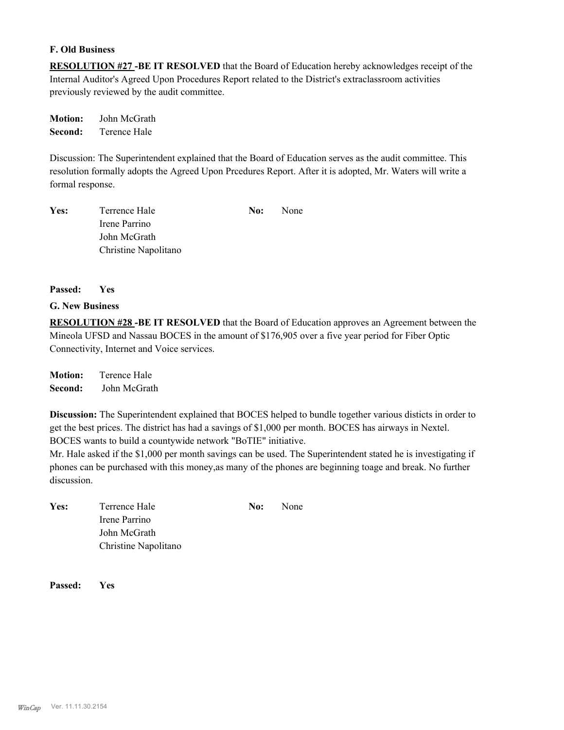#### **F. Old Business**

**RESOLUTION #27 -BE IT RESOLVED** that the Board of Education hereby acknowledges receipt of the Internal Auditor's Agreed Upon Procedures Report related to the District's extraclassroom activities previously reviewed by the audit committee.

**Motion:** John McGrath **Second:** Terence Hale

Discussion: The Superintendent explained that the Board of Education serves as the audit committee. This resolution formally adopts the Agreed Upon Prcedures Report. After it is adopted, Mr. Waters will write a formal response.

| Yes: | Terrence Hale        | No: | <b>None</b> |
|------|----------------------|-----|-------------|
|      | Irene Parrino        |     |             |
|      | John McGrath         |     |             |
|      | Christine Napolitano |     |             |

#### **Passed: Yes**

#### **G. New Business**

**RESOLUTION #28 -BE IT RESOLVED** that the Board of Education approves an Agreement between the Mineola UFSD and Nassau BOCES in the amount of \$176,905 over a five year period for Fiber Optic Connectivity, Internet and Voice services.

**Motion:** Terence Hale **Second:** John McGrath

**Discussion:** The Superintendent explained that BOCES helped to bundle together various disticts in order to get the best prices. The district has had a savings of \$1,000 per month. BOCES has airways in Nextel. BOCES wants to build a countywide network "BoTIE" initiative.

Mr. Hale asked if the \$1,000 per month savings can be used. The Superintendent stated he is investigating if phones can be purchased with this money,as many of the phones are beginning toage and break. No further discussion.

**Yes:** Terrence Hale **No:** None Irene Parrino John McGrath Christine Napolitano

**Passed: Yes**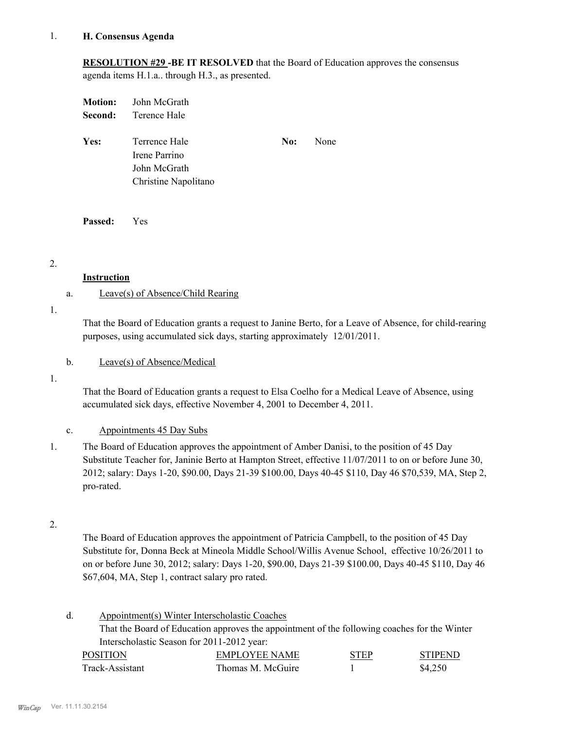#### **H. Consensus Agenda** 1.

**RESOLUTION #29 -BE IT RESOLVED** that the Board of Education approves the consensus agenda items H.1.a.. through H.3., as presented.

|         | <b>Motion:</b> John McGrath |     |      |
|---------|-----------------------------|-----|------|
| Second: | Terence Hale                |     |      |
|         |                             |     |      |
| Yes:    | Terrence Hale               | No: | None |
|         | Irene Parrino               |     |      |
|         | John McGrath                |     |      |
|         | Christine Napolitano        |     |      |
|         |                             |     |      |

**Passed:** Yes

2.

#### **Instruction**

### a. Leave(s) of Absence/Child Rearing

1.

That the Board of Education grants a request to Janine Berto, for a Leave of Absence, for child-rearing purposes, using accumulated sick days, starting approximately 12/01/2011.

### b. Leave(s) of Absence/Medical

1.

That the Board of Education grants a request to Elsa Coelho for a Medical Leave of Absence, using accumulated sick days, effective November 4, 2001 to December 4, 2011.

### c. Appointments 45 Day Subs

The Board of Education approves the appointment of Amber Danisi, to the position of 45 Day Substitute Teacher for, Janinie Berto at Hampton Street, effective 11/07/2011 to on or before June 30, 2012; salary: Days 1-20, \$90.00, Days 21-39 \$100.00, Days 40-45 \$110, Day 46 \$70,539, MA, Step 2, pro-rated. 1.

2.

The Board of Education approves the appointment of Patricia Campbell, to the position of 45 Day Substitute for, Donna Beck at Mineola Middle School/Willis Avenue School, effective 10/26/2011 to on or before June 30, 2012; salary: Days 1-20, \$90.00, Days 21-39 \$100.00, Days 40-45 \$110, Day 46 \$67,604, MA, Step 1, contract salary pro rated.

| d. |                 | Appointment(s) Winter Interscholastic Coaches                                                |             |                |
|----|-----------------|----------------------------------------------------------------------------------------------|-------------|----------------|
|    |                 | That the Board of Education approves the appointment of the following coaches for the Winter |             |                |
|    |                 | Interscholastic Season for 2011-2012 year:                                                   |             |                |
|    | <b>POSITION</b> | <b>EMPLOYEE NAME</b>                                                                         | <b>STEP</b> | <b>STIPEND</b> |
|    | Track-Assistant | Thomas M. McGuire                                                                            |             | \$4.250        |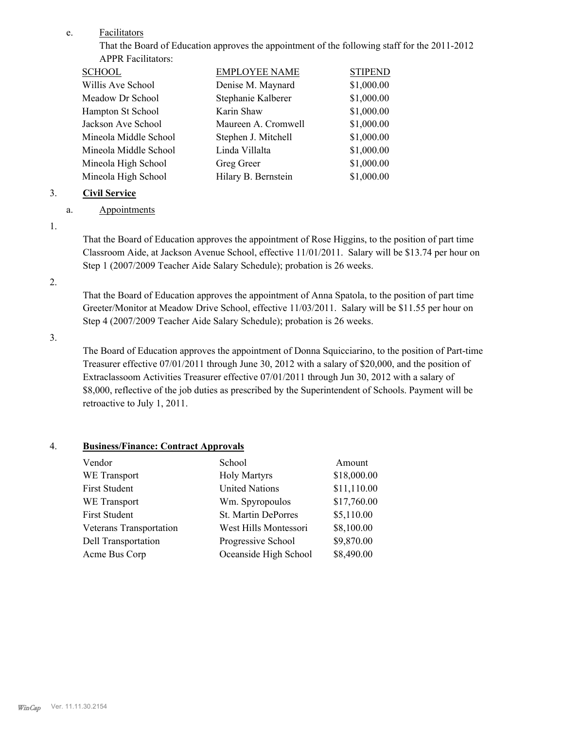#### Facilitators e.

That the Board of Education approves the appointment of the following staff for the 2011-2012 APPR Facilitators:

| SCHOOL                | <b>EMPLOYEE NAME</b> | <b>STIPEND</b> |
|-----------------------|----------------------|----------------|
| Willis Ave School     | Denise M. Maynard    | \$1,000.00     |
| Meadow Dr School      | Stephanie Kalberer   | \$1,000.00     |
| Hampton St School     | Karin Shaw           | \$1,000.00     |
| Jackson Ave School    | Maureen A. Cromwell  | \$1,000.00     |
| Mineola Middle School | Stephen J. Mitchell  | \$1,000.00     |
| Mineola Middle School | Linda Villalta       | \$1,000.00     |
| Mineola High School   | Greg Greer           | \$1,000.00     |
| Mineola High School   | Hilary B. Bernstein  | \$1,000.00     |
|                       |                      |                |

### 3. **Civil Service**

## a. Appointments

1.

That the Board of Education approves the appointment of Rose Higgins, to the position of part time Classroom Aide, at Jackson Avenue School, effective 11/01/2011. Salary will be \$13.74 per hour on Step 1 (2007/2009 Teacher Aide Salary Schedule); probation is 26 weeks.

#### 2.

That the Board of Education approves the appointment of Anna Spatola, to the position of part time Greeter/Monitor at Meadow Drive School, effective 11/03/2011. Salary will be \$11.55 per hour on Step 4 (2007/2009 Teacher Aide Salary Schedule); probation is 26 weeks.

3.

The Board of Education approves the appointment of Donna Squicciarino, to the position of Part-time Treasurer effective 07/01/2011 through June 30, 2012 with a salary of \$20,000, and the position of Extraclassoom Activities Treasurer effective 07/01/2011 through Jun 30, 2012 with a salary of \$8,000, reflective of the job duties as prescribed by the Superintendent of Schools. Payment will be retroactive to July 1, 2011.

# 4. **Business/Finance: Contract Approvals**

| Vendor                  | School                | Amount      |
|-------------------------|-----------------------|-------------|
| WE Transport            | <b>Holy Martyrs</b>   | \$18,000.00 |
| <b>First Student</b>    | <b>United Nations</b> | \$11,110.00 |
| WE Transport            | Wm. Spyropoulos       | \$17,760.00 |
| <b>First Student</b>    | St. Martin DePorres   | \$5,110.00  |
| Veterans Transportation | West Hills Montessori | \$8,100.00  |
| Dell Transportation     | Progressive School    | \$9,870.00  |
| Acme Bus Corp           | Oceanside High School | \$8,490.00  |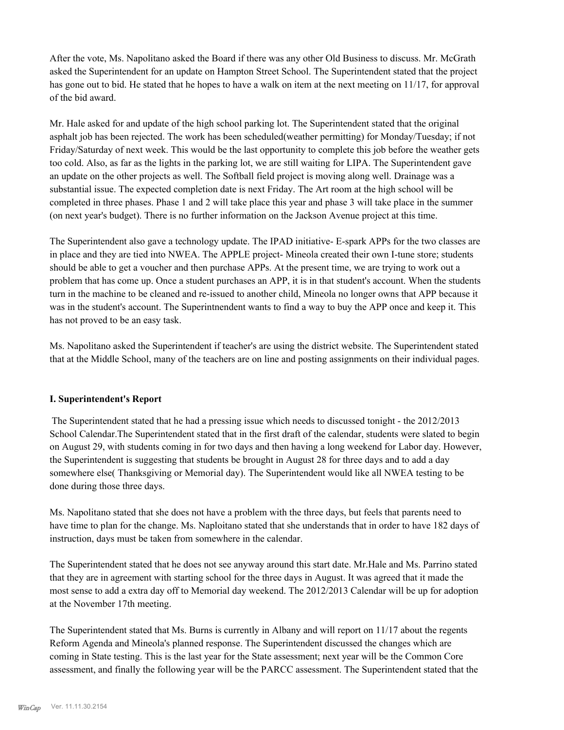After the vote, Ms. Napolitano asked the Board if there was any other Old Business to discuss. Mr. McGrath asked the Superintendent for an update on Hampton Street School. The Superintendent stated that the project has gone out to bid. He stated that he hopes to have a walk on item at the next meeting on 11/17, for approval of the bid award.

Mr. Hale asked for and update of the high school parking lot. The Superintendent stated that the original asphalt job has been rejected. The work has been scheduled(weather permitting) for Monday/Tuesday; if not Friday/Saturday of next week. This would be the last opportunity to complete this job before the weather gets too cold. Also, as far as the lights in the parking lot, we are still waiting for LIPA. The Superintendent gave an update on the other projects as well. The Softball field project is moving along well. Drainage was a substantial issue. The expected completion date is next Friday. The Art room at the high school will be completed in three phases. Phase 1 and 2 will take place this year and phase 3 will take place in the summer (on next year's budget). There is no further information on the Jackson Avenue project at this time.

The Superintendent also gave a technology update. The IPAD initiative- E-spark APPs for the two classes are in place and they are tied into NWEA. The APPLE project- Mineola created their own I-tune store; students should be able to get a voucher and then purchase APPs. At the present time, we are trying to work out a problem that has come up. Once a student purchases an APP, it is in that student's account. When the students turn in the machine to be cleaned and re-issued to another child, Mineola no longer owns that APP because it was in the student's account. The Superintnendent wants to find a way to buy the APP once and keep it. This has not proved to be an easy task.

Ms. Napolitano asked the Superintendent if teacher's are using the district website. The Superintendent stated that at the Middle School, many of the teachers are on line and posting assignments on their individual pages.

### **I. Superintendent's Report**

The Superintendent stated that he had a pressing issue which needs to discussed tonight - the 2012/2013 School Calendar.The Superintendent stated that in the first draft of the calendar, students were slated to begin on August 29, with students coming in for two days and then having a long weekend for Labor day. However, the Superintendent is suggesting that students be brought in August 28 for three days and to add a day somewhere else( Thanksgiving or Memorial day). The Superintendent would like all NWEA testing to be done during those three days.

Ms. Napolitano stated that she does not have a problem with the three days, but feels that parents need to have time to plan for the change. Ms. Naploitano stated that she understands that in order to have 182 days of instruction, days must be taken from somewhere in the calendar.

The Superintendent stated that he does not see anyway around this start date. Mr.Hale and Ms. Parrino stated that they are in agreement with starting school for the three days in August. It was agreed that it made the most sense to add a extra day off to Memorial day weekend. The 2012/2013 Calendar will be up for adoption at the November 17th meeting.

The Superintendent stated that Ms. Burns is currently in Albany and will report on 11/17 about the regents Reform Agenda and Mineola's planned response. The Superintendent discussed the changes which are coming in State testing. This is the last year for the State assessment; next year will be the Common Core assessment, and finally the following year will be the PARCC assessment. The Superintendent stated that the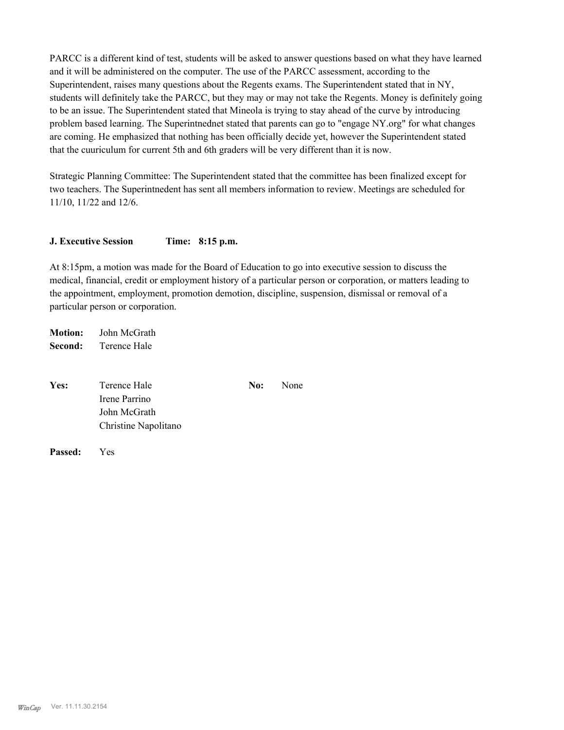PARCC is a different kind of test, students will be asked to answer questions based on what they have learned and it will be administered on the computer. The use of the PARCC assessment, according to the Superintendent, raises many questions about the Regents exams. The Superintendent stated that in NY, students will definitely take the PARCC, but they may or may not take the Regents. Money is definitely going to be an issue. The Superintendent stated that Mineola is trying to stay ahead of the curve by introducing problem based learning. The Superintnednet stated that parents can go to "engage NY.org" for what changes are coming. He emphasized that nothing has been officially decide yet, however the Superintendent stated that the cuuriculum for current 5th and 6th graders will be very different than it is now.

Strategic Planning Committee: The Superintendent stated that the committee has been finalized except for two teachers. The Superintnedent has sent all members information to review. Meetings are scheduled for 11/10, 11/22 and 12/6.

#### **J. Executive Session Time: 8:15 p.m.**

At 8:15pm, a motion was made for the Board of Education to go into executive session to discuss the medical, financial, credit or employment history of a particular person or corporation, or matters leading to the appointment, employment, promotion demotion, discipline, suspension, dismissal or removal of a particular person or corporation.

**Motion:** John McGrath **Second:** Terence Hale

| Terence Hale         | No: | None |
|----------------------|-----|------|
| Irene Parrino        |     |      |
| John McGrath         |     |      |
| Christine Napolitano |     |      |
|                      |     |      |

**Passed:** Yes